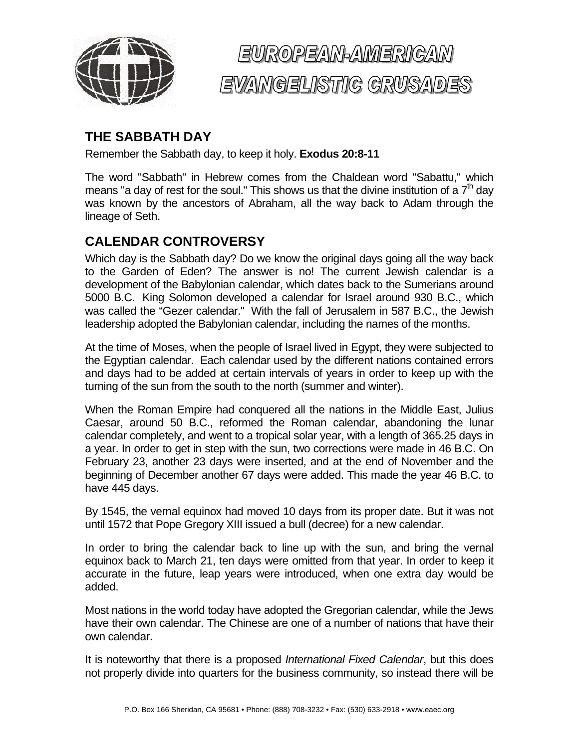

## EUROPEAN-AMERICAN EVAMGELISTIC CRUSADES

## **THE SABBATH DAY**

Remember the Sabbath day, to keep it holy. **Exodus 20:8-11** 

The word "Sabbath" in Hebrew comes from the Chaldean word "Sabattu," which means "a day of rest for the soul." This shows us that the divine institution of a  $7<sup>th</sup>$  day was known by the ancestors of Abraham, all the way back to Adam through the lineage of Seth.

## **CALENDAR CONTROVERSY**

Which day is the Sabbath day? Do we know the original days going all the way back to the Garden of Eden? The answer is no! The current Jewish calendar is a development of the Babylonian calendar, which dates back to the Sumerians around 5000 B.C. King Solomon developed a calendar for Israel around 930 B.C., which was called the "Gezer calendar." With the fall of Jerusalem in 587 B.C., the Jewish leadership adopted the Babylonian calendar, including the names of the months.

At the time of Moses, when the people of Israel lived in Egypt, they were subjected to the Egyptian calendar. Each calendar used by the different nations contained errors and days had to be added at certain intervals of years in order to keep up with the turning of the sun from the south to the north (summer and winter).

When the Roman Empire had conquered all the nations in the Middle East, Julius Caesar, around 50 B.C., reformed the Roman calendar, abandoning the lunar calendar completely, and went to a tropical solar year, with a length of 365.25 days in a year. In order to get in step with the sun, two corrections were made in 46 B.C. On February 23, another 23 days were inserted, and at the end of November and the beginning of December another 67 days were added. This made the year 46 B.C. to have 445 days.

By 1545, the vernal equinox had moved 10 days from its proper date. But it was not until 1572 that Pope Gregory XIII issued a bull (decree) for a new calendar.

In order to bring the calendar back to line up with the sun, and bring the vernal equinox back to March 21, ten days were omitted from that year. In order to keep it accurate in the future, leap years were introduced, when one extra day would be added.

Most nations in the world today have adopted the Gregorian calendar, while the Jews have their own calendar. The Chinese are one of a number of nations that have their own calendar.

It is noteworthy that there is a proposed *International Fixed Calendar*, but this does not properly divide into quarters for the business community, so instead there will be